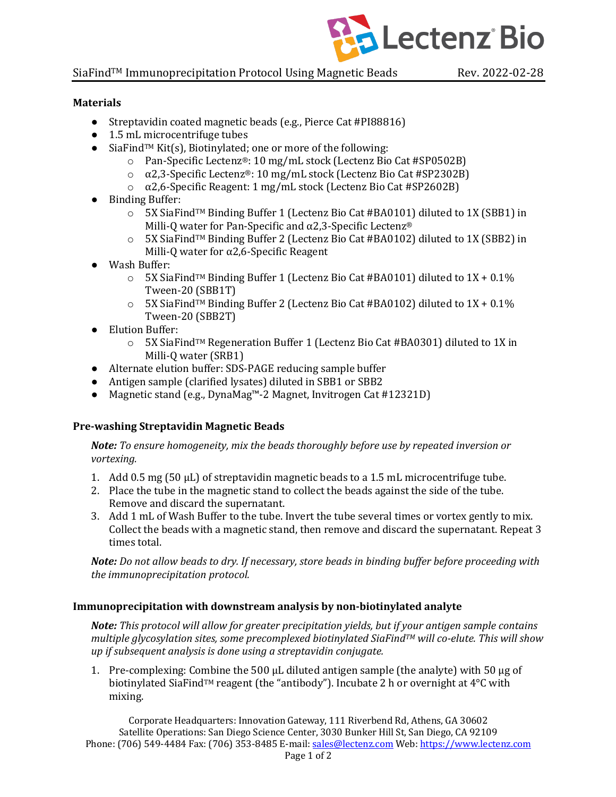

### SiaFind<sup>TM</sup> Immunoprecipitation Protocol Using Magnetic Beads Rev. 2022-02-28

### **Materials**

- Streptavidin coated magnetic beads (e.g., Pierce Cat #PI88816)
- $\bullet$  1.5 mL microcentrifuge tubes
- SiaFind<sup>TM</sup> Kit(s), Biotinylated; one or more of the following:
	- o Pan-Specific Lectenz®: 10 mg/mL stock (Lectenz Bio Cat #SP0502B)
	- $\alpha$  a 2.3-Specific Lectenz®: 10 mg/mL stock (Lectenz Bio Cat #SP2302B)
	- o α2,6-Specific Reagent: 1 mg/mL stock (Lectenz Bio Cat #SP2602B)
- Binding Buffer:
	- $\circ$  5X SiaFind<sup>TM</sup> Binding Buffer 1 (Lectenz Bio Cat #BA0101) diluted to 1X (SBB1) in Milli-Q water for Pan-Specific and  $\alpha$ 2,3-Specific Lectenz®
	- $\circ$  5X SiaFind<sup>TM</sup> Binding Buffer 2 (Lectenz Bio Cat #BA0102) diluted to 1X (SBB2) in Milli-Q water for  $\alpha$ 2,6-Specific Reagent
- Wash Buffer:
	- $\circ$  5X SiaFind<sup>TM</sup> Binding Buffer 1 (Lectenz Bio Cat #BA0101) diluted to 1X + 0.1% Tween-20 (SBB1T)
	- $\circ$  5X SiaFind<sup>TM</sup> Binding Buffer 2 (Lectenz Bio Cat #BA0102) diluted to 1X + 0.1% Tween-20 (SBB2T)
- Elution Buffer:
	- o 5X SiaFindTM Regeneration Buffer 1 (Lectenz Bio Cat #BA0301) diluted to 1X in Milli-O water (SRB1)
- Alternate elution buffer: SDS-PAGE reducing sample buffer
- Antigen sample (clarified lysates) diluted in SBB1 or SBB2
- Magnetic stand (e.g., DynaMag<sup>™</sup>-2 Magnet, Invitrogen Cat #12321D)

# **Pre-washing Streptavidin Magnetic Beads**

*Note:* To ensure homogeneity, mix the beads thoroughly before use by repeated inversion or *vortexing.* 

- 1. Add 0.5 mg (50  $\mu$ L) of streptavidin magnetic beads to a 1.5 mL microcentrifuge tube.
- 2. Place the tube in the magnetic stand to collect the beads against the side of the tube. Remove and discard the supernatant.
- 3. Add 1 mL of Wash Buffer to the tube. Invert the tube several times or vortex gently to mix. Collect the beads with a magnetic stand, then remove and discard the supernatant. Repeat 3 times total.

*Note:* Do not allow beads to dry. If necessary, store beads in binding buffer before proceeding with *the immunoprecipitation protocol.* 

### **Immunoprecipitation with downstream analysis by non-biotinylated analyte**

*Note:* This protocol will allow for greater precipitation yields, but if your antigen sample contains *multiple glycosylation sites, some precomplexed biotinylated SiaFind<sup>TM</sup> will co-elute. This will show up* if subsequent analysis is done using a streptavidin conjugate.

1. Pre-complexing: Combine the 500  $\mu$ L diluted antigen sample (the analyte) with 50  $\mu$ g of biotinylated SiaFind<sup>™</sup> reagent (the "antibody"). Incubate 2 h or overnight at  $4^{\circ}C$  with mixing. 

Corporate Headquarters: Innovation Gateway, 111 Riverbend Rd, Athens, GA 30602 Satellite Operations: San Diego Science Center, 3030 Bunker Hill St, San Diego, CA 92109 Phone: (706) 549-4484 Fax: (706) 353-8485 E-mail: sales@lectenz.com Web: https://www.lectenz.com